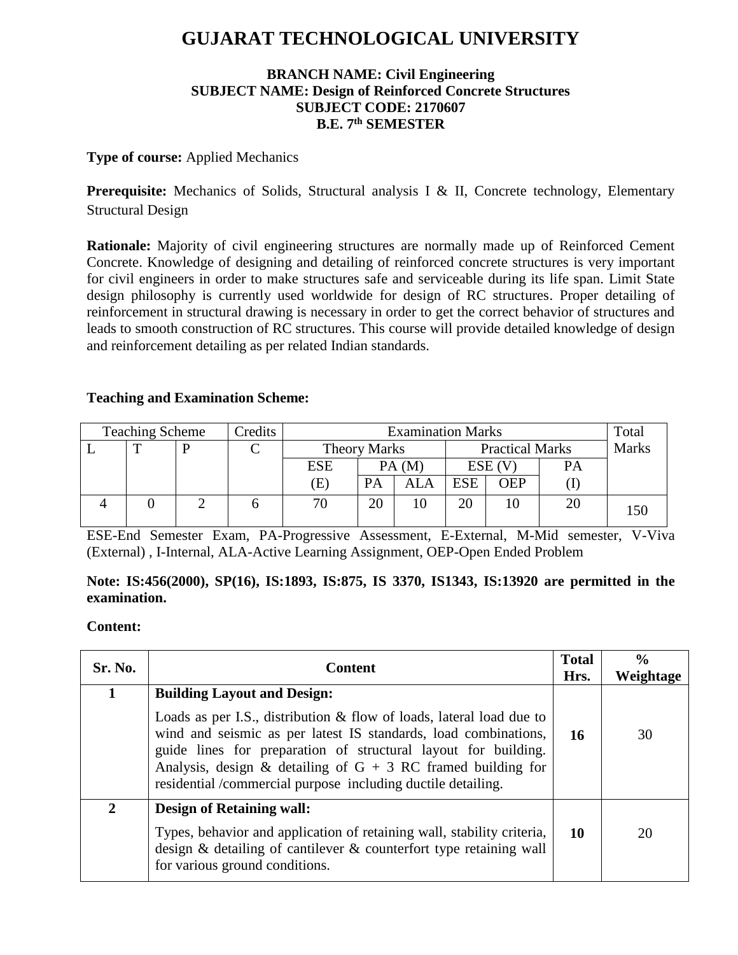# **GUJARAT TECHNOLOGICAL UNIVERSITY**

## **BRANCH NAME: Civil Engineering SUBJECT NAME: Design of Reinforced Concrete Structures SUBJECT CODE: 2170607 B.E. 7 th SEMESTER**

#### **Type of course:** Applied Mechanics

**Prerequisite:** Mechanics of Solids, Structural analysis I & II, Concrete technology, Elementary Structural Design

**Rationale:** Majority of civil engineering structures are normally made up of Reinforced Cement Concrete. Knowledge of designing and detailing of reinforced concrete structures is very important for civil engineers in order to make structures safe and serviceable during its life span. Limit State design philosophy is currently used worldwide for design of RC structures. Proper detailing of reinforcement in structural drawing is necessary in order to get the correct behavior of structures and leads to smooth construction of RC structures. This course will provide detailed knowledge of design and reinforcement detailing as per related Indian standards.

#### **Teaching and Examination Scheme:**

| <b>Teaching Scheme</b> |  |  | Credits | <b>Examination Marks</b>   |    |                        |            | Total      |              |     |
|------------------------|--|--|---------|----------------------------|----|------------------------|------------|------------|--------------|-----|
|                        |  |  |         | <b>Theory Marks</b>        |    | <b>Practical Marks</b> |            |            | <b>Marks</b> |     |
|                        |  |  |         | <b>ESE</b>                 |    | PA(M)                  |            | ESE (V     | PA           |     |
|                        |  |  |         | $\left( \mathrm{E}\right)$ | PA | <b>ALA</b>             | <b>ESE</b> | <b>OEP</b> |              |     |
|                        |  |  |         | 70                         | 20 |                        | 20         | ТU         | 20           | 150 |

ESE-End Semester Exam, PA-Progressive Assessment, E-External, M-Mid semester, V-Viva (External) , I-Internal, ALA-Active Learning Assignment, OEP-Open Ended Problem

# **Note: IS:456(2000), SP(16), IS:1893, IS:875, IS 3370, IS1343, IS:13920 are permitted in the examination.**

#### **Content:**

| Sr. No.      | <b>Content</b>                                                                                                                                                                                                                                                                                                                                 | <b>Total</b><br>Hrs. | $\frac{0}{0}$<br>Weightage |
|--------------|------------------------------------------------------------------------------------------------------------------------------------------------------------------------------------------------------------------------------------------------------------------------------------------------------------------------------------------------|----------------------|----------------------------|
|              | <b>Building Layout and Design:</b>                                                                                                                                                                                                                                                                                                             |                      |                            |
|              | Loads as per I.S., distribution $\&$ flow of loads, lateral load due to<br>wind and seismic as per latest IS standards, load combinations,<br>guide lines for preparation of structural layout for building.<br>Analysis, design & detailing of $G + 3 RC$ framed building for<br>residential /commercial purpose including ductile detailing. | 16                   | 30                         |
| $\mathbf{2}$ | <b>Design of Retaining wall:</b>                                                                                                                                                                                                                                                                                                               |                      |                            |
|              | Types, behavior and application of retaining wall, stability criteria,<br>design & detailing of cantilever & counterfort type retaining wall<br>for various ground conditions.                                                                                                                                                                 | 10                   | 20                         |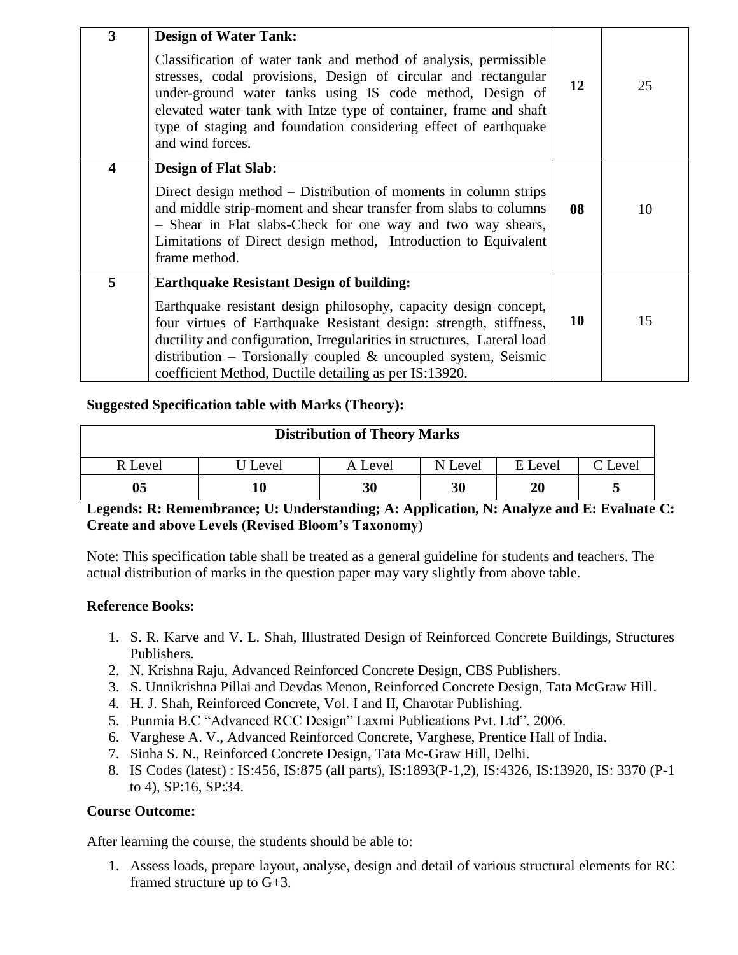| 3 | <b>Design of Water Tank:</b><br>Classification of water tank and method of analysis, permissible<br>stresses, codal provisions, Design of circular and rectangular<br>under-ground water tanks using IS code method, Design of                                                                                                                                                                     | 12 | 25 |
|---|----------------------------------------------------------------------------------------------------------------------------------------------------------------------------------------------------------------------------------------------------------------------------------------------------------------------------------------------------------------------------------------------------|----|----|
|   | elevated water tank with Intze type of container, frame and shaft<br>type of staging and foundation considering effect of earthquake<br>and wind forces.                                                                                                                                                                                                                                           |    |    |
| 4 | <b>Design of Flat Slab:</b><br>Direct design method – Distribution of moments in column strips<br>and middle strip-moment and shear transfer from slabs to columns<br>- Shear in Flat slabs-Check for one way and two way shears,<br>Limitations of Direct design method, Introduction to Equivalent<br>frame method.                                                                              | 08 | 10 |
| 5 | <b>Earthquake Resistant Design of building:</b><br>Earthquake resistant design philosophy, capacity design concept,<br>four virtues of Earthquake Resistant design: strength, stiffness,<br>ductility and configuration, Irregularities in structures, Lateral load<br>distribution – Torsionally coupled $\&$ uncoupled system, Seismic<br>coefficient Method, Ductile detailing as per IS:13920. | 10 | 15 |

#### **Suggested Specification table with Marks (Theory):**

| <b>Distribution of Theory Marks</b> |         |         |         |         |         |  |  |  |
|-------------------------------------|---------|---------|---------|---------|---------|--|--|--|
| R Level                             | J Level | A Level | N Level | E Level | C Level |  |  |  |
| 05                                  |         | 30      | 30      | 20      |         |  |  |  |

## **Legends: R: Remembrance; U: Understanding; A: Application, N: Analyze and E: Evaluate C: Create and above Levels (Revised Bloom's Taxonomy)**

Note: This specification table shall be treated as a general guideline for students and teachers. The actual distribution of marks in the question paper may vary slightly from above table.

#### **Reference Books:**

- 1. S. R. Karve and V. L. Shah, Illustrated Design of Reinforced Concrete Buildings, Structures Publishers.
- 2. N. Krishna Raju, Advanced Reinforced Concrete Design, CBS Publishers.
- 3. S. Unnikrishna Pillai and Devdas Menon, Reinforced Concrete Design, Tata McGraw Hill.
- 4. H. J. Shah, Reinforced Concrete, Vol. I and II, Charotar Publishing.
- 5. Punmia B.C "Advanced RCC Design" Laxmi Publications Pvt. Ltd". 2006.
- 6. Varghese A. V., Advanced Reinforced Concrete, Varghese, Prentice Hall of India.
- 7. Sinha S. N., Reinforced Concrete Design, Tata Mc-Graw Hill, Delhi.
- 8. IS Codes (latest) : IS:456, IS:875 (all parts), IS:1893(P-1,2), IS:4326, IS:13920, IS: 3370 (P-1 to 4), SP:16, SP:34.

#### **Course Outcome:**

After learning the course, the students should be able to:

1. Assess loads, prepare layout, analyse, design and detail of various structural elements for RC framed structure up to G+3.